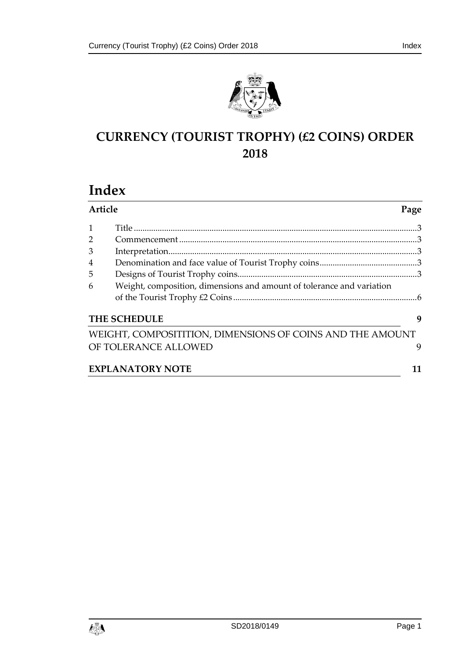



# **CURRENCY (TOURIST TROPHY) (£2 COINS) ORDER 2018**

# **Index**

|                     | Article<br>Page                                                       |    |  |
|---------------------|-----------------------------------------------------------------------|----|--|
| $\mathbf{1}$        |                                                                       |    |  |
| $\overline{2}$      |                                                                       |    |  |
| 3                   |                                                                       |    |  |
| 4                   |                                                                       |    |  |
| 5                   |                                                                       |    |  |
| 6                   | Weight, composition, dimensions and amount of tolerance and variation |    |  |
| <b>THE SCHEDULE</b> |                                                                       |    |  |
|                     | WEIGHT, COMPOSITITION, DIMENSIONS OF COINS AND THE AMOUNT             |    |  |
|                     | OF TOLERANCE ALLOWED                                                  | 9  |  |
|                     | <b>EXPLANATORY NOTE</b>                                               | 11 |  |

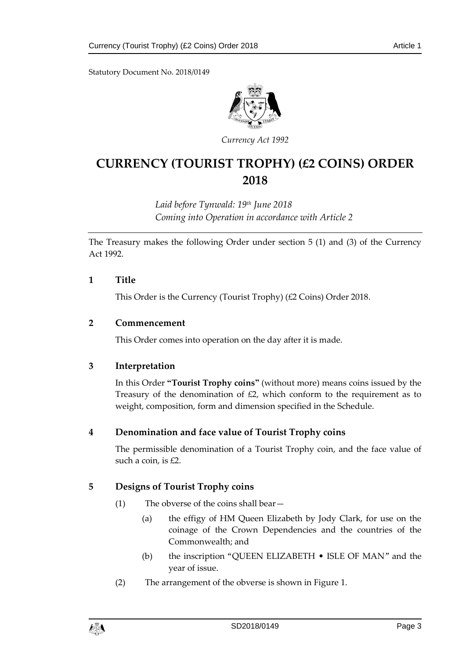Statutory Document No. 2018/0149



*Currency Act 1992*

# **CURRENCY (TOURIST TROPHY) (£2 COINS) ORDER 2018**

*Laid before Tynwald: 19th June 2018 Coming into Operation in accordance with Article 2*

The Treasury makes the following Order under section 5 (1) and (3) of the Currency Act 1992.

#### <span id="page-2-0"></span>**1 Title**

This Order is the Currency (Tourist Trophy) (£2 Coins) Order 2018.

#### <span id="page-2-1"></span>**2 Commencement**

This Order comes into operation on the day after it is made.

## <span id="page-2-2"></span>**3 Interpretation**

In this Order **"Tourist Trophy coins"** (without more) means coins issued by the Treasury of the denomination of £2, which conform to the requirement as to weight, composition, form and dimension specified in the Schedule.

## <span id="page-2-3"></span>**4 Denomination and face value of Tourist Trophy coins**

The permissible denomination of a Tourist Trophy coin, and the face value of such a coin, is £2.

## <span id="page-2-4"></span>**5 Designs of Tourist Trophy coins**

- (1) The obverse of the coins shall bear—
	- (a) the effigy of HM Queen Elizabeth by Jody Clark, for use on the coinage of the Crown Dependencies and the countries of the Commonwealth; and
	- (b) the inscription "QUEEN ELIZABETH ISLE OF MAN" and the year of issue.
- (2) The arrangement of the obverse is shown in Figure 1.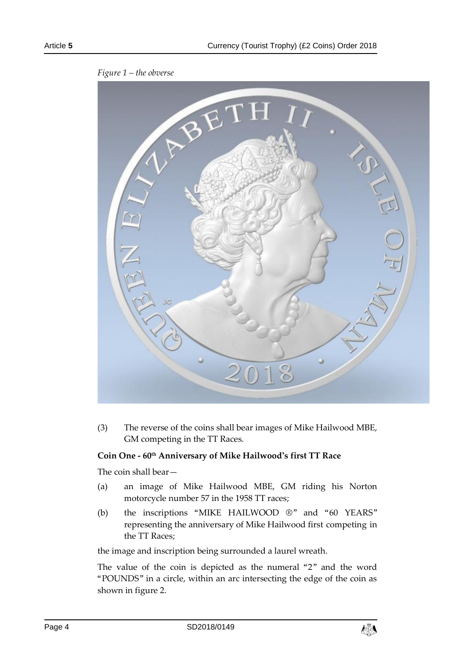

*Figure 1 – the obverse*

(3) The reverse of the coins shall bear images of Mike Hailwood MBE, GM competing in the TT Races.

#### **Coin One - 60th Anniversary of Mike Hailwood's first TT Race**

The coin shall bear—

- (a) an image of Mike Hailwood MBE, GM riding his Norton motorcycle number 57 in the 1958 TT races;
- (b) the inscriptions "MIKE HAILWOOD ®" and "60 YEARS" representing the anniversary of Mike Hailwood first competing in the TT Races;

the image and inscription being surrounded a laurel wreath.

The value of the coin is depicted as the numeral "2" and the word "POUNDS" in a circle, within an arc intersecting the edge of the coin as shown in figure 2.

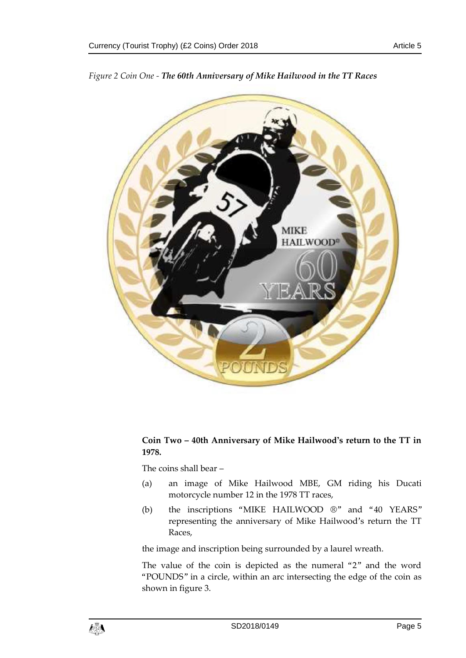

*Figure 2 Coin One - The 60th Anniversary of Mike Hailwood in the TT Races*

# **Coin Two – 40th Anniversary of Mike Hailwood's return to the TT in 1978.**

The coins shall bear –

- (a) an image of Mike Hailwood MBE, GM riding his Ducati motorcycle number 12 in the 1978 TT races,
- (b) the inscriptions "MIKE HAILWOOD ®" and "40 YEARS" representing the anniversary of Mike Hailwood's return the TT Races,

the image and inscription being surrounded by a laurel wreath.

The value of the coin is depicted as the numeral "2" and the word "POUNDS" in a circle, within an arc intersecting the edge of the coin as shown in figure 3.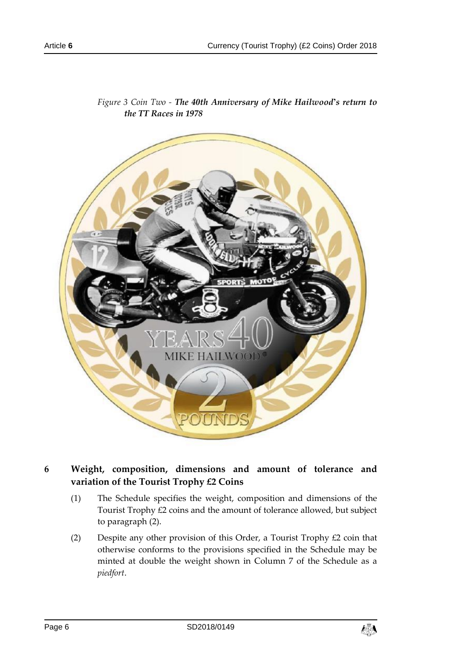

*Figure 3 Coin Two - The 40th Anniversary of Mike Hailwood's return to the TT Races in 1978*

- <span id="page-5-0"></span>**6 Weight, composition, dimensions and amount of tolerance and variation of the Tourist Trophy £2 Coins**
	- (1) The Schedule specifies the weight, composition and dimensions of the Tourist Trophy £2 coins and the amount of tolerance allowed, but subject to paragraph (2).
	- (2) Despite any other provision of this Order, a Tourist Trophy £2 coin that otherwise conforms to the provisions specified in the Schedule may be minted at double the weight shown in Column 7 of the Schedule as a *piedfort*.

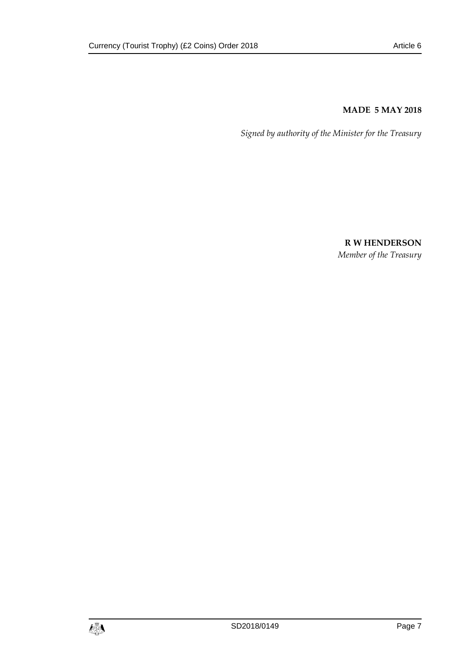#### **MADE 5 MAY 2018**

*Signed by authority of the Minister for the Treasury*

**R W HENDERSON** *Member of the Treasury*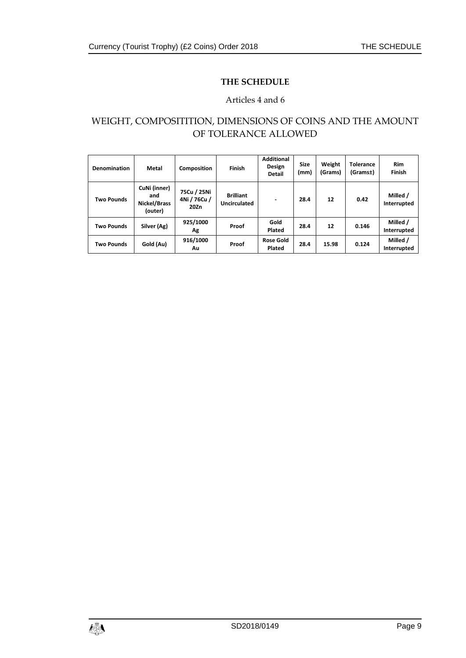## **THE SCHEDULE**

## Articles 4 and 6

# <span id="page-8-1"></span><span id="page-8-0"></span>WEIGHT, COMPOSITITION, DIMENSIONS OF COINS AND THE AMOUNT OF TOLERANCE ALLOWED

| <b>Denomination</b> | Metal                                          | Composition                         | Finish                           | <b>Additional</b><br>Design<br><b>Detail</b> | <b>Size</b><br>(mm) | Weight<br>(Grams) | <b>Tolerance</b><br>(Grams±) | Rim<br>Finish           |
|---------------------|------------------------------------------------|-------------------------------------|----------------------------------|----------------------------------------------|---------------------|-------------------|------------------------------|-------------------------|
| <b>Two Pounds</b>   | CuNi (inner)<br>and<br>Nickel/Brass<br>(outer) | 75Cu / 25Ni<br>4Ni / 76Cu /<br>20Zn | <b>Brilliant</b><br>Uncirculated | ۰                                            | 28.4                | 12                | 0.42                         | Milled /<br>Interrupted |
| <b>Two Pounds</b>   | Silver (Ag)                                    | 925/1000<br>Αg                      | Proof                            | Gold<br>Plated                               | 28.4                | 12                | 0.146                        | Milled /<br>Interrupted |
| <b>Two Pounds</b>   | Gold (Au)                                      | 916/1000<br>Λu                      | Proof                            | <b>Rose Gold</b><br>Plated                   | 28.4                | 15.98             | 0.124                        | Milled /<br>Interrupted |